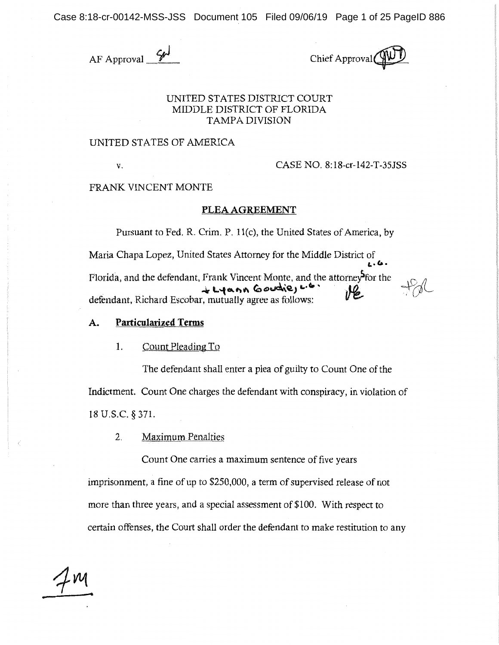Case 8:18-cr-00142-MSS-JSS Document 105 Filed 09/06/19 Page 1 of 25 PageID 886

 $AF$  Approval  $\frac{644}{\sqrt{2}}$  Chief Approval

# UNITED STATES DISTRlCT COURT MIDDLE DISTRICT OF FLORlDA TAMPA DIVISION

### UNITED STATES OF AMERlCA

**V.** CASE NO. 8:18-cr-I42-T-35JSS

FRANK VINCENT MONTE

#### **PLEA AGREEMENT**

Pursuant to Fed. R. Crim. P. l l(c), the United States of America, by

Maria Chapa Lopez, United States Attorney for the Middle District of **C.. C..**  Florida, and the defendant, Frank Vincent Monte, and the attorney for the  $\downarrow \downarrow \downarrow \downarrow \downarrow \uparrow \uparrow \uparrow \uparrow \uparrow \uparrow$ *defendant, Richard Escobar, mutually agree as follows:* 

# **A. Particularized Terms**

#### 1. Count Pleading To

The defendant shall enter a plea of guilty to Count One of the Indictment. Count One charges the defendant with conspiracy, in violation of 18 U.S.C. § 371.

2. Maximum Penalties

Count One carries a maximum sentence of five years

imprisonment, a fine of up to \$250,000, a term of supervised release of not more than three years, and a special assessment of \$100. With respect to certain offenses, the Court shall order the defendant to make restitution to any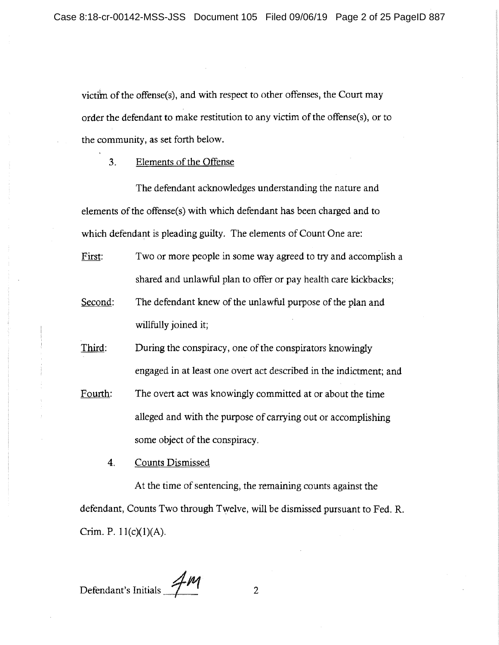victi'm of the offense(s), and with respect to other offenses, the Court may order the defendant to make restitution to any victim of the offense(s), or to the community, as set forth below.

3. Elements of the Offense

The defendant acknowledges understanding the nature and elements of the offense(s) with which defendant has been charged and to which defendant is pleading guilty. The elements of Count One are:

First: Two or more people in some way agreed to try and accomplish a shared and unlawful plan to offer or pay health care kickbacks;

Second: The defendant knew of the unlawful purpose of the plan and willfully joined it;

Third: During the conspiracy, one of the conspirators knowingly engaged in at least one overt act described in the indictment; and

Fourth: The overt act was knowingly committed at or about the time alleged and with the purpose of carrying out or accomplishing some object of the conspiracy.

4. Counts Dismissed

At the time of sentencing, the remaining counts against the defendant, Counts Two through Twelve, will be dismissed pursuant to Fed. R. Crim. P.  $11(c)(1)(A)$ .

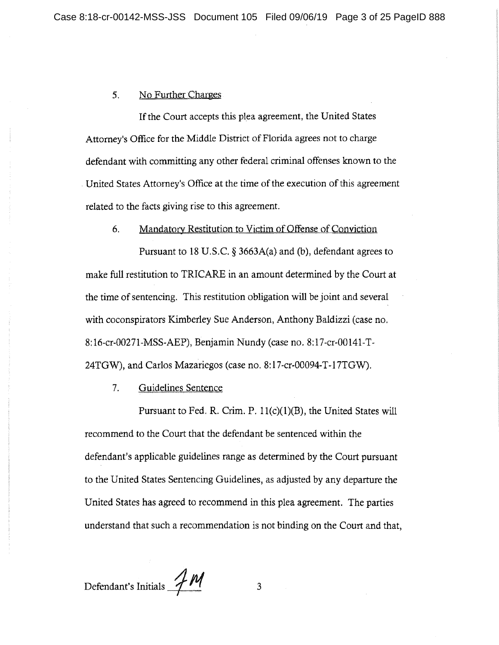# 5. No Further Charges

If the Court accepts this plea agreement, the United States Attorney's Office for the Middle District of Florida agrees not to charge defendant with committing any other federal criminal offenses known to the . United States Attorney's Office at the time of the execution of this agreement related to the facts giving rise to this agreement.

#### 6. Mandatory Restitution to Victim of Offense of Conviction

Pursuant to 18 U.S.C.  $\S$  3663A(a) and (b), defendant agrees to make full restitution to TRICARE in an amount determined by the Court at the time of sentencing. This restitution obligation will be joint and several with coconspirators Kimberley Sue Anderson, Anthony Baldizzi (case no. 8:16-cr-00271-MSS-AEP), Benjamin Nundy (case no. 8:17-cr-00141-T-24TGW), and Carlos Mazariegos (case no. 8:17-cr-00094-T-17TGW).

### 7. Guidelines Sentence

Pursuant to Fed. R. Crim. P.  $11(c)(1)(B)$ , the United States will recommend to the Court that the defendant be sentenced within the defendant's applicable guidelines range as determined by the Court pursuant to the United States Sentencing Guidelines, as adjusted by any departure the United States has agreed to recommend in this plea agreement. The parties understand that such a recommendation is not binding on the Court and that,

Defendant's Initials *\_\_\_\_\_\_\_\_\_\_\_\_\_\_* 3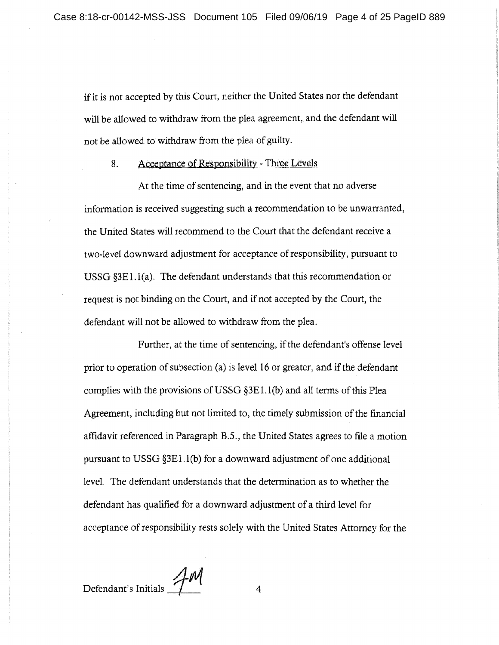if it is not accepted by this Court, neither the United States nor the defendant will be allowed to withdraw from the plea agreement, and the defendant will not be allowed to withdraw from the plea of guilty.

# 8. Acceptance of Responsibility - Three Levels

At the time of sentencing, and in the event that no adverse information is received suggesting such a recommendation to be unwarranted, the United States will recommend to the Court that the defendant receive a two-level downward adjustment for acceptance ofresponsibility, pursuant to USSG §3El.l(a). The defendant understands that this recommendation or request is not binding on the Court, and if not accepted by the Court, the defendant will not be allowed to withdraw from the plea.

Further, at the time of sentencing, if the defendant's offense level prior to operation of subsection (a) is level 16 or greater, and if the defendant complies with the provisions of USSG §3E 1. l(b) and all terms of this Plea Agreement, including but not limited to, the timely submission of the financial affidavit referenced in Paragraph B.5., the United States agrees to file a motion pursuant to USSG  $\S 3E1.1(b)$  for a downward adjustment of one additional level. The defendant understands that the determination as to whether the defendant has qualified for a downward adjustment of a third level for acceptance of responsibility rests solely with the United States Attorney for the

Defendant's Initials *\_\_\_\_\_\_\_\_\_\_\_\_\_\_\_\_\_\_\_\_\_\_\_\_\_\_* 4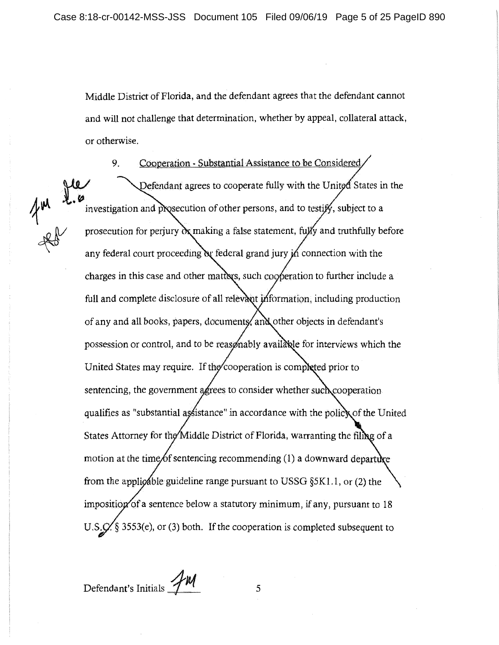Middle District of Florida, and the defendant agrees that the defendant cannot and will not challenge that determination, whether by appeal, collateral attack, or otherwise.

9. Cooperation - Substantial Assistance to be Considered,

Defendant agrees to cooperate fully with the United States in the investigation and prosecution of other persons, and to testify, subject to a prosecution for perjury  $\alpha$  making a false statement, fully and truthfully before any federal court proceeding  $\alpha$  federal grand jury in connection with the charges in this case and other matters, such cooperation to further include a full and complete disclosure of all relevant information, including production of any and all books, papers, documents, and other objects in defendant's possession or control, and to be reasonably available for interviews which the United States may require. If the cooperation is completed prior to sentencing, the government agrees to consider whether such cooperation qualifies as "substantial assistance" in accordance with the policy of the United States Attorney for the Middle District of Florida, warranting the filing of a motion at the time of sentencing recommending  $(1)$  a downward departum from the applicable guideline range pursuant to USSG  $\S 5K1.1$ , or (2) the imposition of a sentence below a statutory minimum, if any, pursuant to  $18$ U.S.  $\hat{C}$  § 3553(e), or (3) both. If the cooperation is completed subsequent to

Defendant's Initials **1<sup>2</sup>M** 5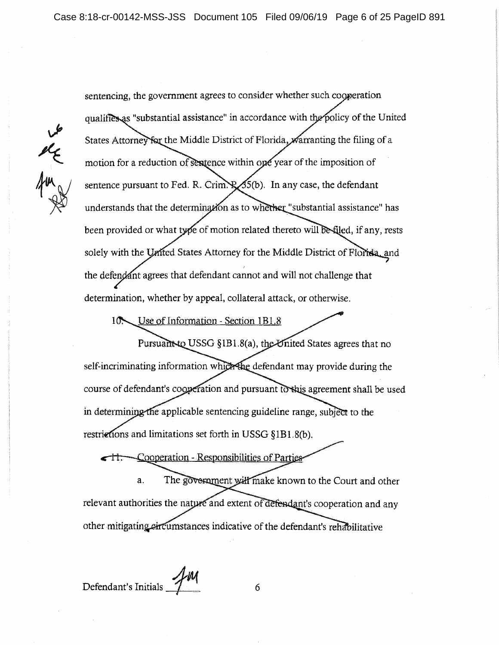the the

sentencing, the government agrees to consider whether such cooperation qualifies as "substantial assistance" in accordance with the policy of the United States Attorney for the Middle District of Florida, warranting the filing of a motion for a reduction of sentence within one year of the imposition of sentence pursuant to Fed. R. Crim.  $\mathbb{R}$  55(b). In any case, the defendant understands that the determination as to whether "substantial assistance" has been provided or what type of motion related thereto will be filed, if any, rests solely with the United States Attorney for the Middle District of Florida, and the defendant agrees that defendant cannot and will not challenge that determination, whether by appeal, collateral attack, or otherwise.

10. Use of Information - Section 1B1.8

Pursuant to USSG §1B1.8(a), the United States agrees that no self-incriminating information which the defendant may provide during the course of defendant's cooperation and pursuant to shis agreement shall be used in determining the applicable sentencing guideline range, subject to the restrictions and limitations set forth in USSG  $\S 1B1.8(b)$ .

 $\leftarrow$  H: Cooperation - Responsibilities of Parties

The government will make known to the Court and other a. relevant authorities the nature and extent of defendant's cooperation and any other mitigating circumstances indicative of the defendant's rehabilitative

**Defendant's Initials** <sup>1</sup> 6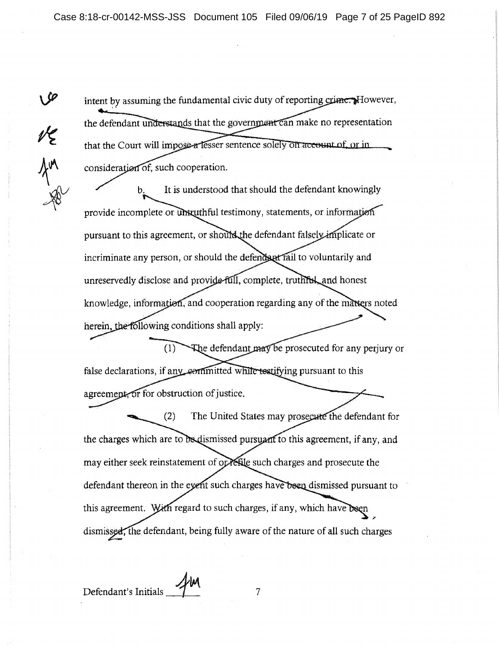intent by assuming the fundamental civic duty of reporting crime. However, the defendant understands that the government can make no representation that the Court will impose a lesser sentence solely on account of or in consideration of, such cooperation.

b. It is understood that should the defendant knowingly provide incomplete or unkuthful testimony, statements, or information pursuant to this agreement, or should the defendant falsely implicate or incriminate any person, or should the defends at fail to voluntarily and unreservedly disclose and provide full, complete, truthred, and honest knowledge, information, and cooperation regarding any of the matters noted herein, the following conditions shall apply:

The defendant may be prosecuted for any perjury or  $(1)$ false declarations, if any committed while testifying pursuant to this agreement, or for obstruction of justice.

 $(2)$ The United States may prosecute the defendant for the charges which are to be dismissed pursuant to this agreement, if any, and may either seek reinstatement of or refile such charges and prosecute the defendant thereon in the event such charges have been dismissed pursuant to this agreement. With regard to such charges, if any, which have been dismissed, the defendant, being fully aware of the nature of all such charges

ue<br>Am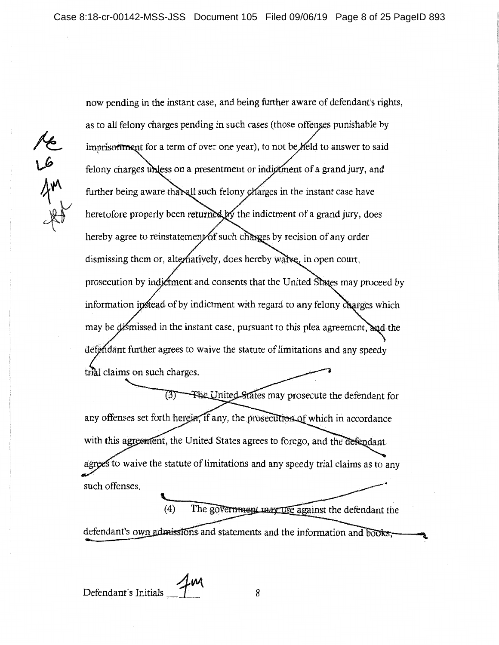re co

now pending in the instant case, and being further aware of defendant's rights, as to all felony charges pending in such cases (those offenses punishable by imprisonment for a term of over one year), to not be held to answer to said felony charges unless on a presentment or indictment of a grand jury, and further being aware that all such felony charges in the instant case have heretofore properly been returned by the indictment of a grand jury, does hereby agree to reinstatement of such charges by recision of any order dismissing them or, alternatively, does hereby walve, in open court, prosecution by indictment and consents that the United States may proceed by information instead of by indictment with regard to any felony charges which may be dismissed in the instant case, pursuant to this plea agreement, and the defendant further agrees to waive the statute of limitations and any speedy trial claims on such charges.

(3) The United States may prosecute the defendant for any offenses set forth herein, if any, the prosecution of which in accordance with this agreement, the United States agrees to forego, and the defendant agrees to waive the statute of limitations and any speedy trial claims as to any such offenses.

The government may use against the defendant the (4) defendant's own admissions and statements and the information and books;

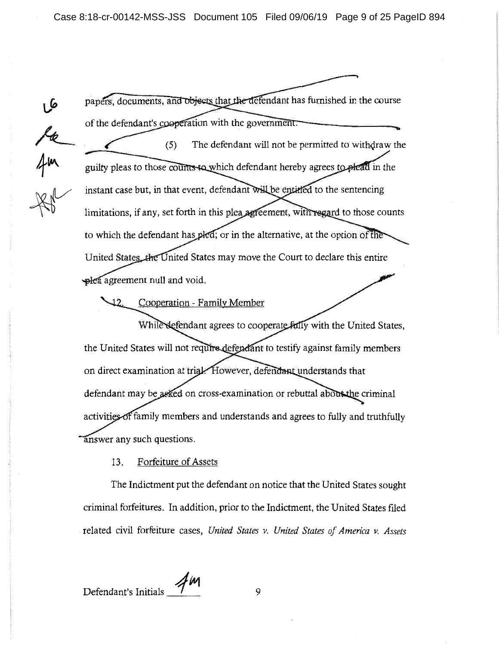$rac{2x}{4m}$ 

papers, documents, and objects that the defendant has furnished in the course of the defendant's cooperation with the government. The defendant will not be permitted to withdraw the  $(5)$ guilty pleas to those counts to which defendant hereby agrees to plead in the instant case but, in that event, defendant will be entitled to the sentencing limitations, if any, set forth in this plea agreement, with regard to those counts to which the defendant has pled; or in the alternative, at the option of the United States the United States may move the Court to declare this entire plea agreement null and void.

Cooperation - Family Member

While sefendant agrees to cooperate fully with the United States, the United States will not require defendant to testify against family members on direct examination at trial. However, defendant understands that defendant may be asked on cross-examination or rebuttal about the criminal family members and understands and agrees to fully and truthfully answer any such questions.

# 13. Forfeiture of Assets

The Indictment put the defendant on notice that the United States sought criminal forfeitures. In addition, prior to the Indictment, the United States filed . related civil forfeiture cases, *United States v. United States of America v. Assets* 

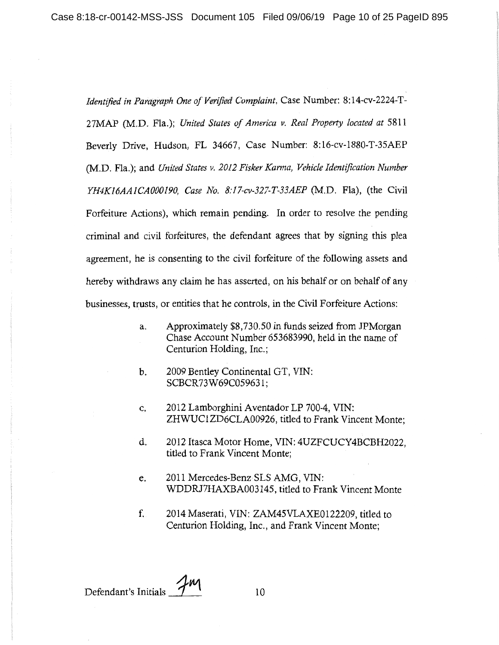*Identified in Paragraph One of Verified Complaint,* Case Number: 8:14-cv-2224-T-27MAP (M.D. Fla.); *United States of America v. Real Property located at* 5811 Beverly Drive, Hudson, FL 34667, Case Number: 8:16-cv-I880-T-35AEP (M.D. Fla.); and *United States v. 2012 Fisker Karma, Vehicle Identification Number YH4KI6AAICAOOOJ90, Case No. 8:17-cv-327-T-33AEP* (M.D. Fla), (the Civil Forfeiture Actions), which remain pending. In order to resolve the pending criminal and civil forfeitures, the defendant agrees that by signing this plea agreement, he is consenting to the civil forfeiture of the following assets and hereby withdraws any claim he has asserted, on his behalf or on behalf of any businesses, trusts, or entities that he controls, in the Civil Forfeiture Actions:

- a. Approximately \$8,730.50 in funds seized from JPMorgan Chase Account Number 653683990, held in the name of Centurion Holding, Inc.;
- b. 2009 Bentley Continental GT, VIN: SCBCR73W69C05963 l;
- c. 2012 Lamborghini Aventador LP 700-4, VIN: ZHWUCIZD6CLA00926, titled to Frank Vincent Monte;
- d. 2012 Itasca Motor Home, VIN: 4UZFCUCY4BCBH2022, titled to Frank Vincent Monte;
- e. 2011 Mercedes-Benz SLS AMG, VIN: WDDRJ7HAXBA003145, titled to Frank Vincent Monte
- f. 2014 Maserati, VIN: ZAM45VLAXE0122209, titled to Centurion Holding, Inc., and Frank Vincent Monte;

Defendant's Initials  $\mathcal{I}$ <sup>1</sup> 10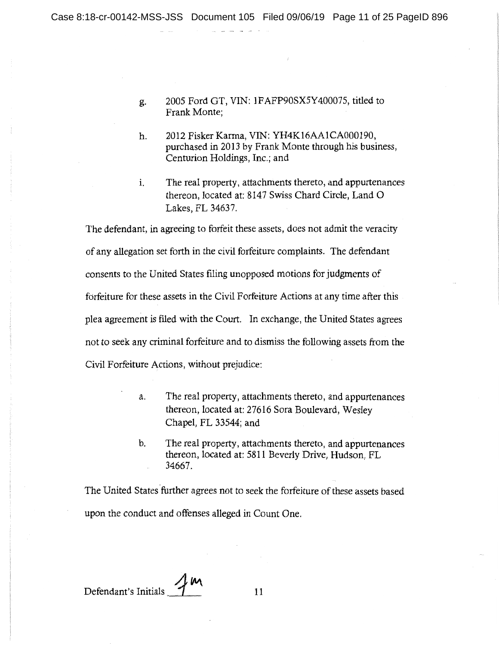g. 2005 Ford GT, VIN: 1FAFP90SX5Y400075, titled to Frank Monte;

- h. 2012 Fisker Karma, VIN: YH4K16AA1CA000190, purchased in 2013 by Frank Monte through his business, Centurion Holdings, Inc.; and
- 1. The real property, attachments thereto, and appurtenances thereon, located at: 8147 Swiss Chard Circle, Land 0 Lakes, FL 34637.

The defendant, in agreeing to forfeit these assets, does not admit the veracity of any allegation set forth in the civil forfeiture complaints. The defendant consents to the United States filing unopposed motions for judgments of forfeiture for these assets in the Civil Forfeiture Actions at any time after this plea agreement is filed with the Court. In exchange, the United States agrees not to seek any criminal forfeiture and to dismiss the following assets from the Civil Forfeiture Actions, without prejudice:

- a. The real property, attachments thereto, and appurtenances thereon, located at: 27616 Sora Boulevard, Wesley Chapel, FL 33544; and
- b. The real property, attachments thereto, and appurtenances thereon, located at: 5811 Beverly Drive, Hudson, FL 34667.

The United States further agrees not to seek the forfeiture of these assets based upon the conduct and offenses alleged in Count One.

Defendant's Initials 7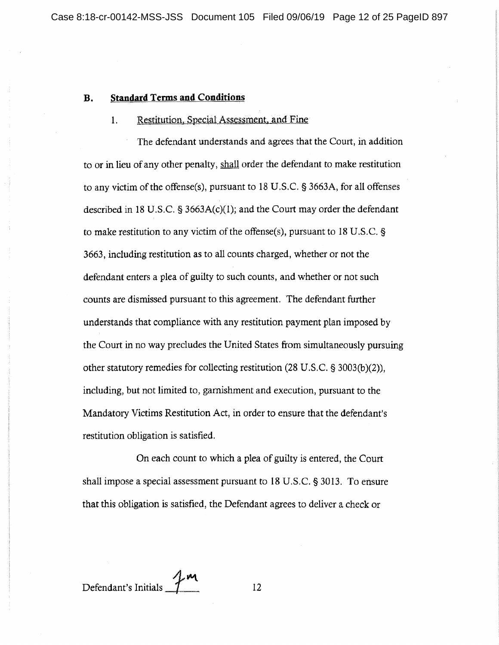#### **B. Standard Terms and Conditions**

### 1. Restitution, Special Assessment. and Fine

The defendant understands and agrees that the Court, in addition to or in lieu of any other penalty, shall order the defendant to make restitution to any victim of the offense(s), pursuant to 18 U.S.C. § 3663A, for all offenses described in 18 U.S.C. § 3663A(c)(1); and the Court may order the defendant to make restitution to any victim of the offense(s), pursuant to 18 U.S.C. § 3663, including restitution as to all counts charged, whether or not the defendant enters a plea of guilty to such counts, and whether or not such counts are dismissed pursuant to this agreement. The defendant further understands that compliance with any restitution payment plan imposed by the Court in no way precludes the United States from simultaneously pursuing other statutory remedies for collecting restitution (28 U.S.C. § 3003(b)(2)), including, but not limited to, garnishment and execution, pursuant to the Mandatory Victims Restitution Act, in order to ensure that the defendant's restitution obligation is satisfied.

On each count to which a plea of guilty is entered, the Court shall impose a special assessment pursuant to 18 U.S.C. § 3013. To ensure that this obligation is satisfied, the Defendant agrees to deliver a check or

Defendant's Initials  $\frac{1}{1}$ <sup>m</sup>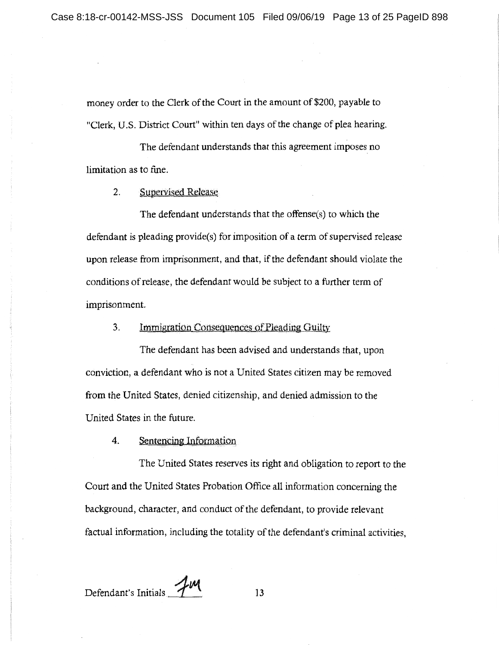money order to the Clerk of the Court in the amount of \$200, payable to "Clerk, U.S. District Court" within ten days of the change of plea hearing.

The defendant understands that this agreement imposes no limitation as to fine.

2. Supervised Release

The defendant understands that the offense(s) to which the defendant is pleading provide(s) for imposition of a term of supervised release upon release from imprisonment, and that, if the defendant should violate the conditions of release, the defendant would be subject to a further term of imprisonment.

3. Immigration Consequences of Pleading Guilty.

The defendant has been advised and understands that, upon conviction, a defendant who is not a United States citizen may be removed from the United States, denied citizenship, and denied admission to the United States in the future.

4. Sentencing Information

The United States reserves its right and obligation to report to the Court and the United States Probation Office all information concerning the background, character, and conduct of the defendant, to provide relevant factual information, including the totality of the defendant's criminal activities,

Defendant's Initials 7M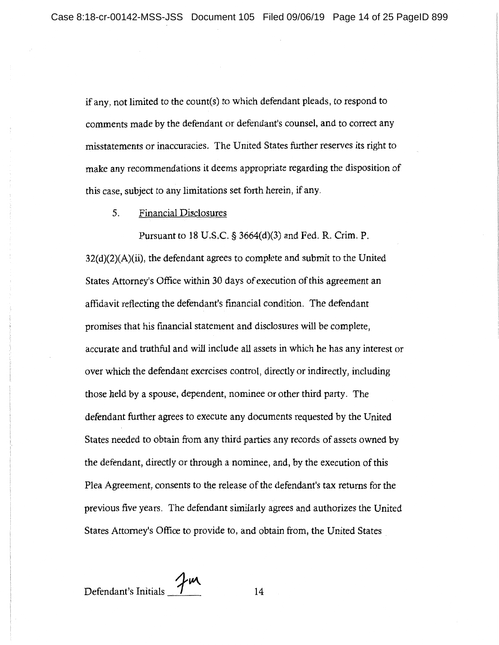if any, not limited to the count(s) to which defendant pleads, to respond to comments made by the defendant or defendant's counsel, and to correct any misstatements or inaccuracies. The United States further reserves its right to make any recommendations it deems appropriate regarding the disposition of this case, subject to any limitations set forth herein, if any.

5. Financial Disclosures

Pursuant to 18 U.S.C. § 3664(d)(3) and Fed. R. Crim. P.  $32(d)(2)(A)(ii)$ , the defendant agrees to complete and submit to the United States Attorney's Office within 30 days of execution of this agreement an affidavit reflecting the defendant's financial condition. The defendant promises that his financial statement and disclosures will be complete, accurate and truthful and will include all assets in which he has any interest or over which the defendant exercises control, directly or indirectly, including those held by a spouse, dependent, nominee or other third party. The defendant further agrees to execute any documents requested by the United States needed to obtain from any third parties any records of assets owned by the defendant, directly or through a nominee, and, by the execution of this Plea Agreement, consents to the release of the defendant's tax returns for the previous five years. The defendant similarly agrees and authorizes the United States Attorney's Office to provide to, and obtain from, the United States

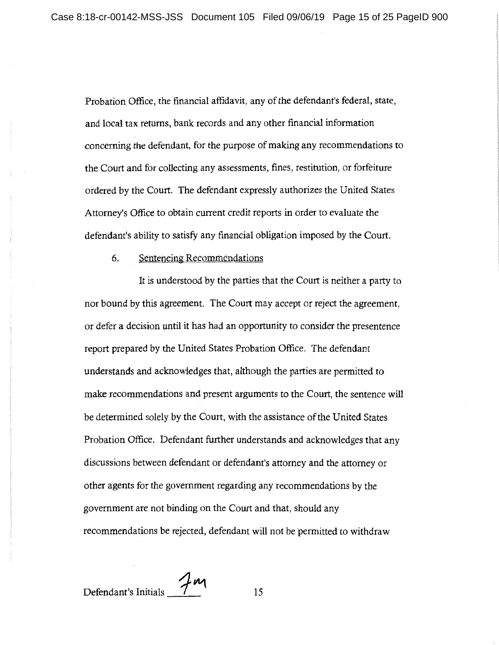Probation Office, the financial affidavit, any of the defendant's federal, state, and local tax returns, bank records and any other financial information concerning the defendant, for the purpose of making any recommendations to the Court and for collecting any assessments, fines, restitution, or forfeiture ordered by the Court. The defendant expressly authorizes the United States Attorney's Office to obtain current credit reports in order to evaluate the defendant's ability to satisfy any financial obligation imposed by the Court.

6. Sentencing Recommendations

It is understood by the parties that the Court is neither a party to nor bound by this agreement. The Court may accept or reject the agreement, or defer a decision until it has had an opportunity to consider the presentence report prepared by the United States Probation Office. The defendant understands and acknowledges that, although the parties are permitted to make recommendations and present arguments to the Court, the sentence will be determined solely by the Court, with the assistance of the United States Probation Office. Defendant further understands and acknowledges that any discussions between defendant or defendant's attorney and the attorney or other agents for the government regarding any recommendations by the government are not binding on the Court and that, should any recommendations be rejected, defendant will not be permitted to withdraw

Defendant's Initials  $\frac{7m}{15}$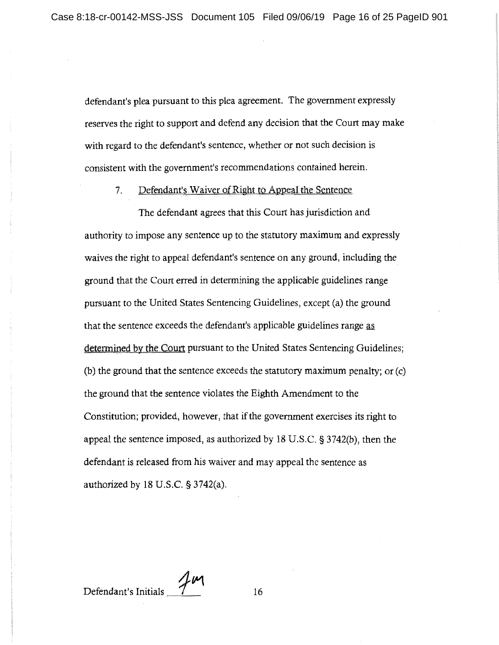defendant's plea pursuant to this plea agreement. The government expressly reserves the right to support and defend any decision that the Court may make with regard to the defendant's sentence, whether or not such decision is consistent with the government's recommendations contained herein.

7. Defendant's Waiver of Right to Appeal the Sentence

The defendant agrees that this Court has jurisdiction and authority to impose any sentence up to the statutory maximum and expressly waives the right to appeal defendant's sentence on any ground, including the ground that the Court erred in determining the applicable guidelines range pursuant to the United States Sentencing Guidelines, except (a) the ground that the sentence exceeds the defendant's applicable guidelines range as determined by the Court pursuant to the United States Sentencing Guidelines; (b) the ground that the sentence exceeds the statutory maximum penalty; or (c) the ground that the sentence violates the Eighth Amendment to the Constitution; provided, however, that if the government exercises its right to appeal the sentence imposed, as authorized by 18 U.S.C. § 3742(b), then the defendant is released from his waiver and may appeal the sentence as authorized by 18 U.S.C. § 3742(a).

Defendant's Initials  $\frac{7}{10}$  16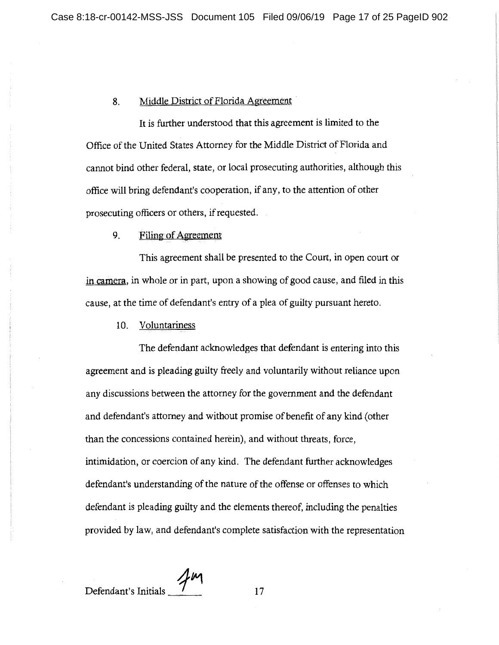# 8. Middle District of Florida Agreement

It is further understood that this agreement is limited to the Office of the United States Attorney for the Middle District of Florida and cannot bind other federal, state, or local prosecuting authorities, although this office will bring defendant's cooperation, if any, to the attention of other prosecuting officers or others, if requested.

#### 9. Filing of Agreement

This agreement shall be presented to the Court, in open court or in camera, in whole or in part, upon a showing of good cause, and filed in this cause, at the time of defendant's entry of a plea of guilty pursuant hereto.

10. Voluntariness

The defendant acknowledges that defendant is entering into this agreement and is pleading guilty freely and voluntarily without reliance upon any discussions between the attorney for the government and the defendant and defendant's attorney and without promise of benefit of any kind (other than the concessions contained herein), and without threats, force, intimidation, or coercion of any kind. The defendant further acknowledges defendant's understanding of the nature of the offense or offenses to which defendant is pleading guilty and the elements thereof, including the penalties provided by law, and defendant's complete satisfaction with the representation

Defendant's Initials *\_1\_"'1\_* 17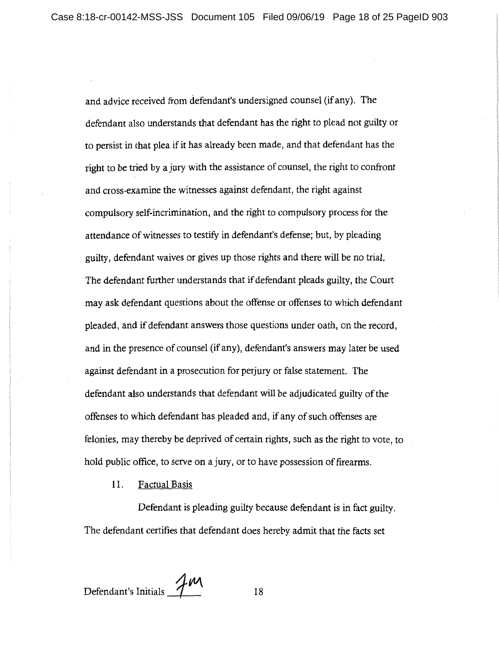and advice received from defendant's undersigned counsel (if any). The defendant also understands that defendant has the right to plead not guilty or to persist in that plea if it has already been made, and that defendant has the right to be tried by a jury with the assistance of counsel, the right to confront and cross-examine the witnesses against defendant, the right against compulsory self-incrimination, and the right to compulsory process for the attendance of witnesses to testify in defendant's defense; but, by pleading guilty, defendant waives or gives up those rights and there will be no trial. The defendant further understands that if defendant pleads guilty, the Court may ask defendant questions about the offense or offenses to which defendant pleaded, and if defendant answers those questions under oath, on the record, and in the presence of counsel (if any), defendant's answers may later be used against defendant in a prosecution for perjury or false statement. The defendant also understands that defendant will be adjudicated guilty of the offenses to which defendant has pleaded and, if any of such offenses are felonies, may thereby be deprived of certain rights, such as the right to vote, to hold public office, to serve on a jury, or to have possession of firearms.

11. Factual Basis

Defendant is pleading guilty because defendant is in fact guilty. The defendant certifies that defendant does hereby admit that the facts set

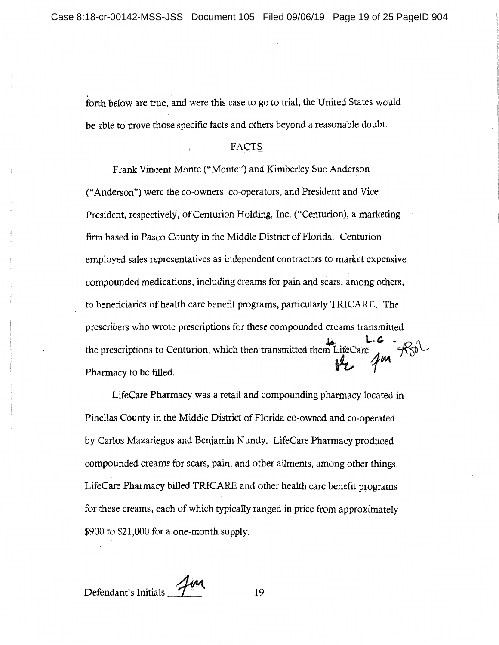forth below are true, and were this case to go to trial, the United States would be able to prove those specific facts and others beyond a reasonable doubt.

#### FACTS

Frank Vincent Monte ("Monte") and Kimberley Sue Anderson ("Anderson") were the co-owners, co-operators, and President and Vice President, respectively, of Centurion Holding, Inc. ("Centurion), a marketing firm based in Pasco County in the Middle District of Florida. Centurion employed sales representatives as independent contractors to market expensive compounded medications, including creams for pain and scars, among others, to beneficiaries of health care benefit programs, particularly TRICARE. The prescribers who wrote prescriptions for these compounded creams transmitted the prescriptions to Centurion, which then transmitted them LifeCare **L.C.**<br>the prescriptions to Centurion, which then transmitted them LifeCare Pharmacy to be filled.  $\mathcal{V}$  **1**  $\mathcal{V}$ 

LifeCare Pharmacy was a retail and compounding pharmacy located in Pinellas County in the Middle District of Florida co-owned and co-operated by Carlos Mazariegos and Benjamin Nundy. LifeCare Pharmacy produced compounded creams for scars, pain, and other ailments, among other things. LifeCare Pharmacy billed TRICARE and other health care benefit programs for these creams, each of which typically ranged in price from approximately \$900 to \$21,000 for a one-month supply.

Defendant's Initials 7 19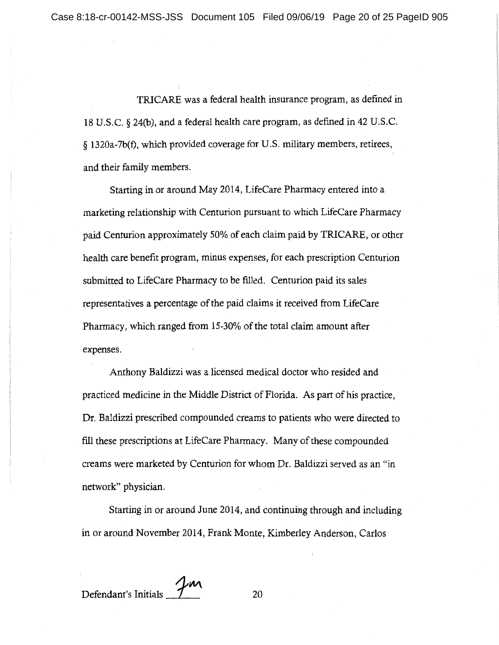TRICARE was a federal health insurance program, as defined in 18 U.S.C. § 24(b), and a federal health care program, as defined in 42 U.S.C. § 1320a-7b(f), which provided coverage for U.S. military members, retirees, and their family members.

Starting in or around May 2014, LifeCare Pharmacy entered into a marketing relationship with Centurion pursuant to which LifeCare Pharmacy paid Centurion approximately 50% of each claim paid by TRICARE, or other health care benefit program, minus expenses, for each prescription Centurion submitted to LifeCare Pharmacy to be filled. Centurion paid its sales representatives a percentage of the paid claims it received from LifeCare Pharmacy, which ranged from 15-30% of the total claim amount after expenses.

Anthony Baldizzi was a licensed medical doctor who resided and practiced medicine in the Middle District of Florida. As part of his practice, Dr. Baldizzi prescribed compounded creams to patients who were directed to fill these prescriptions at LifeCare Pharmacy. Many of these compounded creams were marketed by Centurion for whom Dr. Baldizzi served as an "in network" physician.

Starting in or around June 2014, and continuing through and including in or around November 2014, Frank Monte, Kimberley Anderson, Carlos

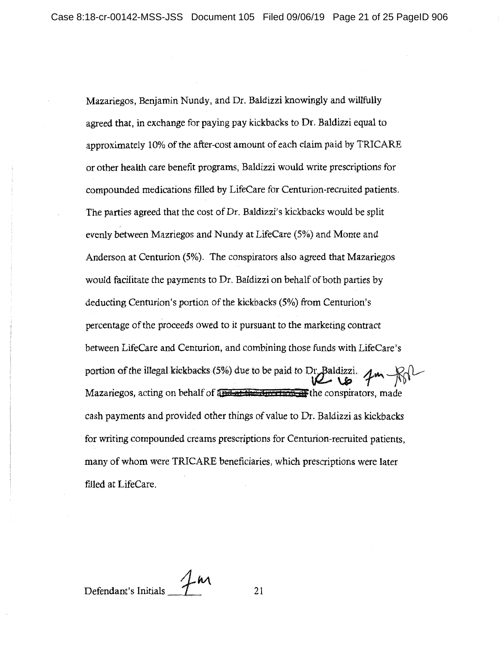Mazariegos, Benjamin Nundy, and Dr. Baldizzi knowingly and willfully agreed that, in exchange for paying pay kickbacks to Dr. Baldizzi equal to approximately 10% of the after-cost amount of each claim paid by TRICARE or other health care benefit programs, Baldizzi would write prescriptions for compounded medications filled by LifeCare for Centurion-recruited patients. The parties agreed that the cost of Dr. Baldizzi's kickbacks would be split evenly between Mazriegos and Nundy at LifeCare (5%) and Monte and Anderson at Centurion (5%). The conspirators also agreed that Mazariegos would facilitate the payments to Dr. Baldizzi on behalf of both parties by deducting Centurion's portion of the kickbacks (5%) from Centurion's percentage of the proceeds owed to it pursuant to the marketing contract between LifeCare and Centurion, and combining those funds with LifeCare's portion of the illegal kickbacks (5%) due to be paid to Dr. Baldizzi.  $\mu$  m R Mazariegos, acting on behalf of and at the duration of the conspirators, made cash payments and provided other things of value to Dr. Baldizzi as kickbacks for writing compounded creams prescriptions for Centurion-recruited patients, many of whom were TRICARE beneficiaries, which prescriptions were later filled at LifeCare.

Defendant's Initials **1** 21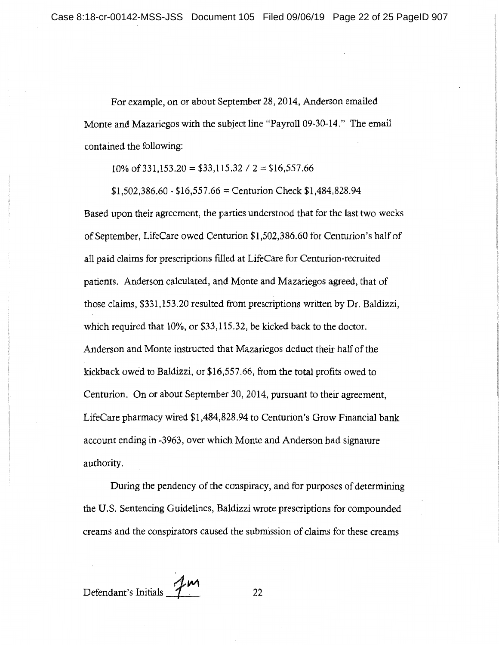For example, on or about September 28, 2014, Anderson emailed Monte and Mazariegos with the subject line "Payroll 09-30-14." The email contained the following:

10% of 331,153.20 = \$33,115.32 /  $2 = $16,557.66$ 

 $$1,502,386.60 - $16,557.66 =$  Centurion Check  $$1,484.828.94$ 

Based upon their agreement, the parties understood that for the last two weeks of September, LifeCare owed Centurion \$1,502,386.60 for Centurion's half of all paid claims for prescriptions filled at LifeCare for Centurion-recruited patients. Anderson calculated, and Monte and Mazariegos agreed, that of those claims, \$331,153.20 resulted from prescriptions written by Dr. Baldizzi, which required that 10%, or \$33,115.32, be kicked back to the doctor. Anderson and Monte instructed that Mazariegos deduct their half of the kickback owed to Baldizzi, or \$16,557.66, from the total profits owed to Centurion. On or about September 30, 2014, pursuant to their agreement, LifeCare pharmacy wired \$1,484,828.94 to Centurion's Grow Financial bank account ending in -3963, over which Monte and Anderson had signature authority.

During the pendency of the conspiracy, and for purposes of determining the U.S. Sentencing Guidelines, Baldizzi wrote prescriptions for compounded creams and the conspirators caused the submission of claims for these creams

Defendant's Initials  $\mathcal{L}$  22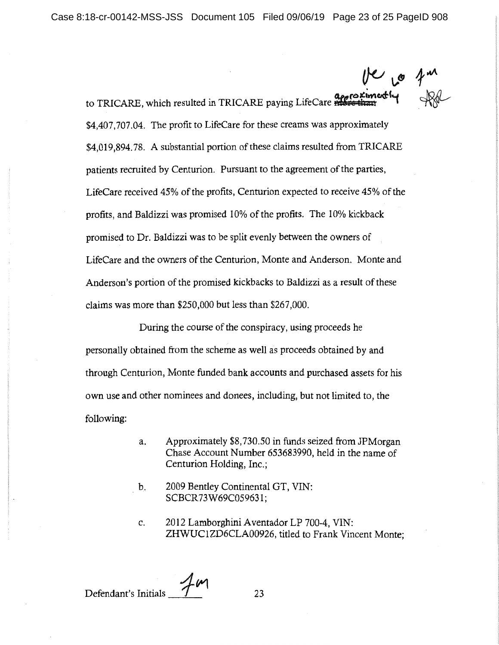:t&(OKM'\c,¢'(v.., to TRI CARE, which resulted in TRI CARE paying LifeCareH **:tb.a:n** ' \$4,407,707.04. The profit to LifeCare for these creams was approximately \$4,019,894.78. A substantial portion of these claims resulted from TRICARE patients recruited by Centurion. Pursuant to the agreement of the parties, LifeCare received 45% of the profits, Centurion expected to receive 45% of the profits, and Baldizzi was promised 10% of the profits. The 10% kickback promised to Dr. Baldizzi was to be split evenly between the owners of LifeCare and the owners of the Centurion, Monte and Anderson. Monte and Anderson's portion of the promised kickbacks to Baldizzi as a result of these claims was more than \$250,000 but less than \$267,000.

During the course of the conspiracy, using proceeds he personally obtained from the scheme as well as proceeds obtained by and through Centurion, Monte funded bank accounts and purchased assets for his own use and other nominees and donees, including, but not limited to, the following:

- a. Approximately \$8,730.50 in funds seized from JPMorgan Chase Account Number 653683990, held in the name of Centurion Holding, Inc.;
- b. 2009 Bentley Continental GT, VIN: SCBCR 73W69C059631;
- c. 2012 Lamborghini Aventador LP 700-4, VIN: ZHWUC1ZD6CLA00926, titled to Frank Vincent Monte;

Defendant's Initials 7 (23)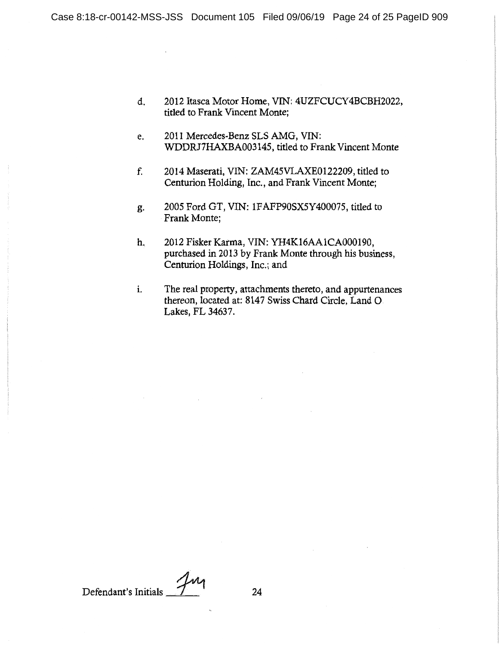- d. 2012 Itasca Motor Home, VIN: 4UZFCUCY4BCBH2022, titled to Frank Vincent Monte;
- e. 2011 Mercedes-Benz SLS AMG, VIN: WDDRJ7HAXBA003145, titled to Frank Vincent Monte
- f. 2014 Maserati, VIN: ZAM45VLAXE0122209, titled to Centurion Holding, Inc., and Frank Vincent Monte;
- g. 2005 Ford GT, VIN: 1FAFP90SX5Y400075, titled to Frank Monte;
- h. 2012 Fisker Karma, VIN: YH4K16AA1CA000190, purchased in 2013 by Frank Monte through his business, Centurion Holdings, Inc.; and
- i. The real property, attachments thereto, and appurtenances thereon, located at: 8147 Swiss Chard Circle, Land 0 Lakes, FL 34637.

Defendant's Initials 7 24